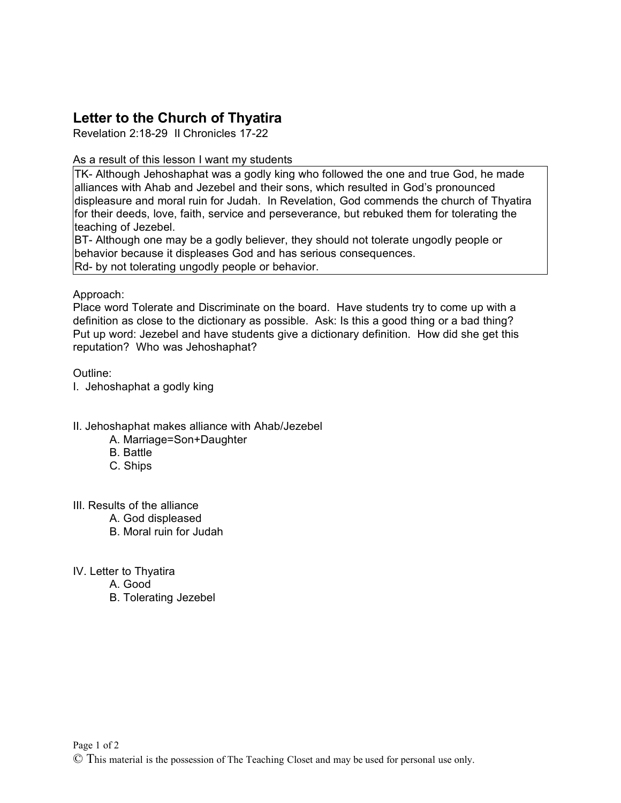# **Letter to the Church of Thyatira**

Revelation 2:18-29 II Chronicles 17-22

## As a result of this lesson I want my students

TK- Although Jehoshaphat was a godly king who followed the one and true God, he made alliances with Ahab and Jezebel and their sons, which resulted in God's pronounced displeasure and moral ruin for Judah. In Revelation, God commends the church of Thyatira for their deeds, love, faith, service and perseverance, but rebuked them for tolerating the teaching of Jezebel.

BT- Although one may be a godly believer, they should not tolerate ungodly people or behavior because it displeases God and has serious consequences. Rd- by not tolerating ungodly people or behavior.

## Approach:

Place word Tolerate and Discriminate on the board. Have students try to come up with a definition as close to the dictionary as possible. Ask: Is this a good thing or a bad thing? Put up word: Jezebel and have students give a dictionary definition. How did she get this reputation? Who was Jehoshaphat?

## Outline:

I. Jehoshaphat a godly king

## II. Jehoshaphat makes alliance with Ahab/Jezebel

- A. Marriage=Son+Daughter
- B. Battle
- C. Ships

## III. Results of the alliance

- A. God displeased
- B. Moral ruin for Judah
- IV. Letter to Thyatira
	- A. Good
	- B. Tolerating Jezebel